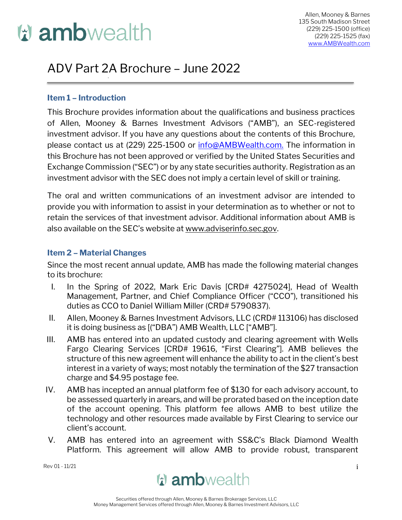# **u** ambwealth

# ADV Part 2A Brochure – June 2022

#### **Item 1 – Introduction**

This Brochure provides information about the qualifications and business practices of Allen, Mooney & Barnes Investment Advisors ("AMB"), an SEC-registered investment advisor. If you have any questions about the contents of this Brochure, please contact us at (229) 225-1500 or [info@AMBWealth.com.](mailto:info@AMBWealth.com.) The information in this Brochure has not been approved or verified by the United States Securities and Exchange Commission ("SEC") or by any state securities authority. Registration as an investment advisor with the SEC does not imply a certain level of skill or training.

The oral and written communications of an investment advisor are intended to provide you with information to assist in your determination as to whether or not to retain the services of that investment advisor. Additional information about AMB is also available on the SEC's website at [www.adviserinfo.sec.gov.](http://www.adviserinfo.sec.gov/)

#### **Item 2 – Material Changes**

Since the most recent annual update, AMB has made the following material changes to its brochure:

- I. In the Spring of 2022, Mark Eric Davis [CRD# 4275024], Head of Wealth Management, Partner, and Chief Compliance Officer ("CCO"), transitioned his duties as CCO to Daniel William Miller (CRD# 5790837).
- II. Allen, Mooney & Barnes Investment Advisors, LLC (CRD# 113106) has disclosed it is doing business as [("DBA") AMB Wealth, LLC ["AMB"].
- III. AMB has entered into an updated custody and clearing agreement with Wells Fargo Clearing Services [CRD# 19616, "First Clearing"]. AMB believes the structure of this new agreement will enhance the ability to act in the client's best interest in a variety of ways; most notably the termination of the \$27 transaction charge and \$4.95 postage fee.
- IV. AMB has incepted an annual platform fee of \$130 for each advisory account, to be assessed quarterly in arears, and will be prorated based on the inception date of the account opening. This platform fee allows AMB to best utilize the technology and other resources made available by First Clearing to service our client's account.
- V. AMB has entered into an agreement with SS&C's Black Diamond Wealth Platform. This agreement will allow AMB to provide robust, transparent

 $\mathsf{Rev}\, 01$  - 11/21 i

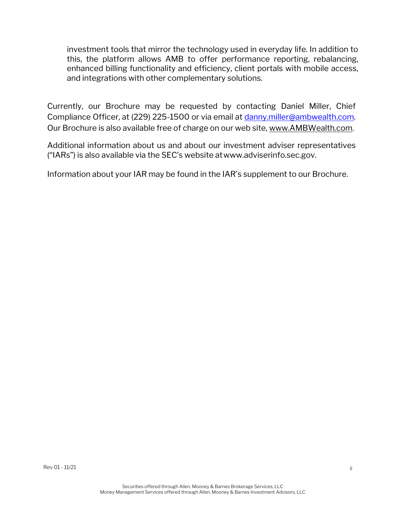investment tools that mirror the technology used in everyday life. In addition to this, the platform allows AMB to offer performance reporting, rebalancing, enhanced billing functionality and efficiency, client portals with mobile access, and integrations with other complementary solutions.

Currently, our Brochure may be requested by contacting Daniel Miller, Chief Compliance Officer, at (229) 225-1500 or via email at [danny.miller@ambwealth.com.](mailto:danny.miller@ambwealth.com)  Our Brochure is also available free of charge on our web site, [www.AMBWealth.com.](http://www.ambwealth.com/)

Additional information about us and about our investment adviser representatives ("IARs") is also available via the SEC's website at[www.adviserinfo.sec.gov.](http://www.adviserinfo.sec.gov/)

Information about your IAR may be found in the IAR's supplement to our Brochure.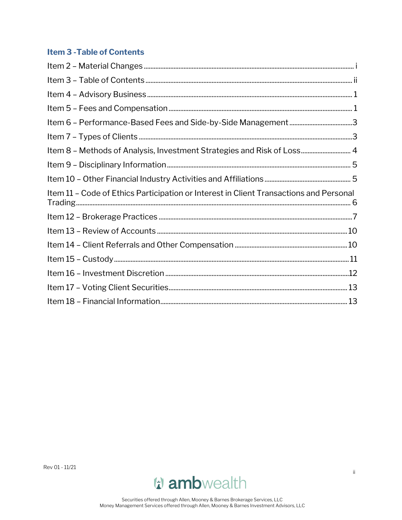# <span id="page-2-0"></span>**Item 3 - Table of Contents**

| Item 8 - Methods of Analysis, Investment Strategies and Risk of Loss 4                 |  |
|----------------------------------------------------------------------------------------|--|
|                                                                                        |  |
|                                                                                        |  |
| Item 11 - Code of Ethics Participation or Interest in Client Transactions and Personal |  |
|                                                                                        |  |
|                                                                                        |  |
|                                                                                        |  |
|                                                                                        |  |
|                                                                                        |  |
|                                                                                        |  |
|                                                                                        |  |
|                                                                                        |  |

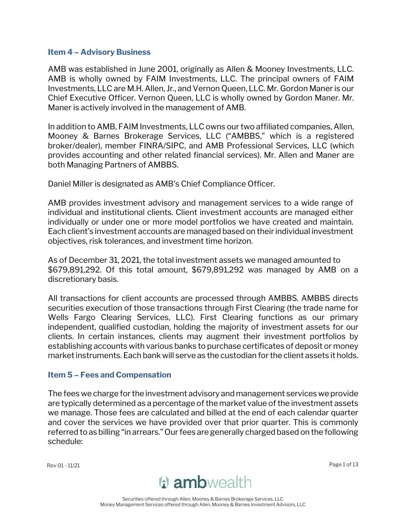#### <span id="page-3-0"></span>**Item 4 – Advisory Business**

AMB was established in June 2001, originally as Allen & Mooney Investments, LLC. AMB is wholly owned by FAIM Investments, LLC. The principal owners of FAIM Investments, LLC are M.H. Allen, Jr., and Vernon Queen, LLC. Mr. Gordon Maneris our Chief Executive Officer. Vernon Queen, LLC is wholly owned by Gordon Maner. Mr. Maner is actively involved in the management of AMB.

In addition to AMB, FAIM Investments, LLC owns our two affiliated companies, Allen, Mooney & Barnes Brokerage Services, LLC ("AMBBS," which is a registered broker/dealer), member FINRA/SIPC, and AMB Professional Services, LLC (which provides accounting and other related financial services). Mr. Allen and Maner are both Managing Partners of AMBBS.

Daniel Miller is designated as AMB's Chief Compliance Officer.

AMB provides investment advisory and management services to a wide range of individual and institutional clients. Client investment accounts are managed either individually or under one or more model portfolios we have created and maintain. Each client's investment accounts are managed based on their individual investment objectives, risk tolerances, and investment time horizon.

As of December 31, 2021, the total investment assets we managed amounted to \$679,891,292. Of this total amount, \$679,891,292 was managed by AMB on a discretionary basis.

All transactions for client accounts are processed through AMBBS. AMBBS directs securities execution of those transactions through First Clearing (the trade name for Wells Fargo Clearing Services, LLC). First Clearing functions as our primary independent, qualified custodian, holding the majority of investment assets for our clients. In certain instances, clients may augment their investment portfolios by establishing accounts with various banks to purchase certificates of deposit or money market instruments. Each bank will serve as the custodian for the client assets it holds.

#### <span id="page-3-1"></span>**Item 5 – Fees and Compensation**

The fees we charge for the investment advisory and management services we provide are typically determined as a percentage of the market value of the investment assets we manage. Those fees are calculated and billed at the end of each calendar quarter and cover the services we have provided over that prior quarter. This is commonly referred to as billing "in arrears." Our fees are generally charged based on the following schedule:

Rev 01 - 11/21 Page 1 of 13

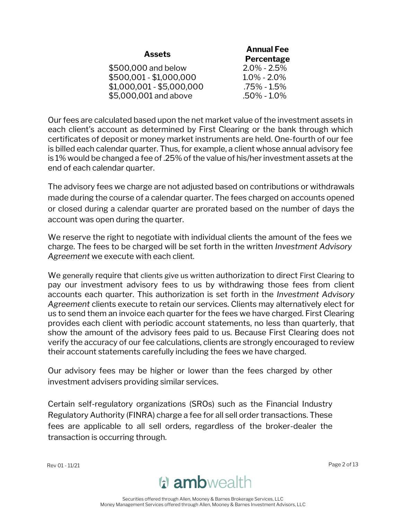|                           | <b>Annual Fee</b> |  |
|---------------------------|-------------------|--|
| <b>Assets</b>             | Percentage        |  |
| \$500,000 and below       | $2.0\% - 2.5\%$   |  |
| \$500,001 - \$1,000,000   | $1.0\% - 2.0\%$   |  |
| $$1,000,001 - $5,000,000$ | $.75\% - 1.5\%$   |  |
| \$5,000,001 and above     | $.50\% - 1.0\%$   |  |

Our fees are calculated based upon the net market value of the investment assets in each client's account as determined by First Clearing or the bank through which certificates of deposit or money market instruments are held. One-fourth of our fee is billed each calendar quarter. Thus, for example, a client whose annual advisory fee is 1% would be changed a fee of .25% of the value of his/her investment assets at the end of each calendar quarter.

The advisory fees we charge are not adjusted based on contributions or withdrawals made during the course of a calendar quarter. The fees charged on accounts opened or closed during a calendar quarter are prorated based on the number of days the account was open during the quarter.

We reserve the right to negotiate with individual clients the amount of the fees we charge. The fees to be charged will be set forth in the written *Investment Advisory Agreement* we execute with each client.

We generally require that clients give us written authorization to direct First Clearing to pay our investment advisory fees to us by withdrawing those fees from client accounts each quarter. This authorization is set forth in the *Investment Advisory Agreement* clients execute to retain our services. Clients may alternatively elect for us to send them an invoice each quarter for the fees we have charged. First Clearing provides each client with periodic account statements, no less than quarterly, that show the amount of the advisory fees paid to us. Because First Clearing does not verify the accuracy of our fee calculations, clients are strongly encouraged to review their account statements carefully including the fees we have charged.

Our advisory fees may be higher or lower than the fees charged by other investment advisers providing similar services.

Certain self-regulatory organizations (SROs) such as the Financial Industry Regulatory Authority (FINRA) charge a fee for all sell order transactions. These fees are applicable to all sell orders, regardless of the broker-dealer the transaction is occurring through.

Rev 01 - 11/21 Page 2 of 13

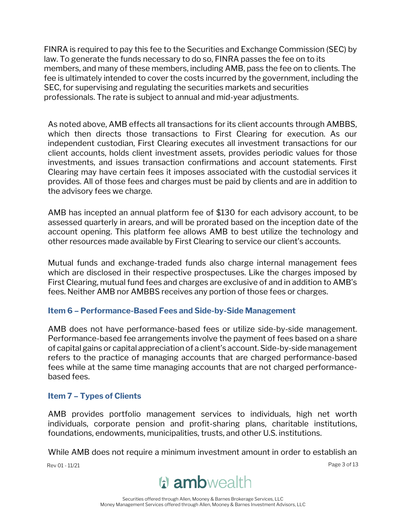FINRA is required to pay this fee to the Securities and Exchange Commission (SEC) by law. To generate the funds necessary to do so, FINRA passes the fee on to its members, and many of these members, including AMB, pass the fee on to clients. The fee is ultimately intended to cover the costs incurred by the government, including the SEC, for supervising and regulating the securities markets and securities professionals. The rate is subject to annual and mid-year adjustments.

As noted above, AMB effects all transactions for its client accounts through AMBBS, which then directs those transactions to First Clearing for execution. As our independent custodian, First Clearing executes all investment transactions for our client accounts, holds client investment assets, provides periodic values for those investments, and issues transaction confirmations and account statements. First Clearing may have certain fees it imposes associated with the custodial services it provides. All of those fees and charges must be paid by clients and are in addition to the advisory fees we charge.

AMB has incepted an annual platform fee of \$130 for each advisory account, to be assessed quarterly in arears, and will be prorated based on the inception date of the account opening. This platform fee allows AMB to best utilize the technology and other resources made available by First Clearing to service our client's accounts.

Mutual funds and exchange-traded funds also charge internal management fees which are disclosed in their respective prospectuses. Like the charges imposed by First Clearing, mutual fund fees and charges are exclusive of and in addition to AMB's fees. Neither AMB nor AMBBS receives any portion of those fees or charges.

#### <span id="page-5-0"></span>**Item 6 – Performance-Based Fees and Side-by-Side Management**

AMB does not have performance-based fees or utilize side-by-side management. Performance-based fee arrangements involve the payment of fees based on a share of capital gains or capital appreciation of a client's account. Side-by-side management refers to the practice of managing accounts that are charged performance-based fees while at the same time managing accounts that are not charged performancebased fees.

#### <span id="page-5-1"></span>**Item 7 – Types of Clients**

AMB provides portfolio management services to individuals, high net worth individuals, corporate pension and profit-sharing plans, charitable institutions, foundations, endowments, municipalities, trusts, and other U.S. institutions.

While AMB does not require a minimum investment amount in order to establish an

Rev 01 - 11/21 Page 3 of 13

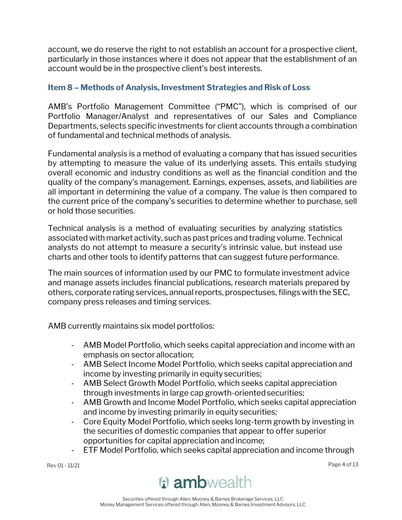account, we do reserve the right to not establish an account for a prospective client, particularly in those instances where it does not appear that the establishment of an account would be in the prospective client's best interests.

# <span id="page-6-0"></span>**Item 8 – Methods of Analysis, Investment Strategies and Risk of Loss**

AMB's Portfolio Management Committee ("PMC"), which is comprised of our Portfolio Manager/Analyst and representatives of our Sales and Compliance Departments, selects specific investments for client accounts through a combination of fundamental and technical methods of analysis.

Fundamental analysis is a method of evaluating a company that has issued securities by attempting to measure the value of its underlying assets. This entails studying overall economic and industry conditions as well as the financial condition and the quality of the company's management. Earnings, expenses, assets, and liabilities are all important in determining the value of a company. The value is then compared to the current price of the company's securities to determine whether to purchase, sell or hold those securities.

Technical analysis is a method of evaluating securities by analyzing statistics associated with market activity, such as past prices and trading volume. Technical analysts do not attempt to measure a security's intrinsic value, but instead use charts and other tools to identify patterns that can suggest future performance.

The main sources of information used by our PMC to formulate investment advice and manage assets includes financial publications, research materials prepared by others, corporate rating services, annual reports, prospectuses, filings with the SEC, company press releases and timing services.

AMB currently maintains six model portfolios:

- AMB Model Portfolio, which seeks capital appreciation and income with an emphasis on sector allocation;
- AMB Select Income Model Portfolio, which seeks capital appreciation and income by investing primarily in equity securities;
- AMB Select Growth Model Portfolio, which seeks capital appreciation through investments in large cap growth-orientedsecurities;
- AMB Growth and Income Model Portfolio, which seeks capital appreciation and income by investing primarily in equity securities;
- Core Equity Model Portfolio, which seeks long-term growth by investing in the securities of domestic companies that appear to offer superior opportunities for capital appreciation andincome;
- ETF Model Portfolio, which seeks capital appreciation and income through

Rev 01 - 11/21 Page 4 of 13

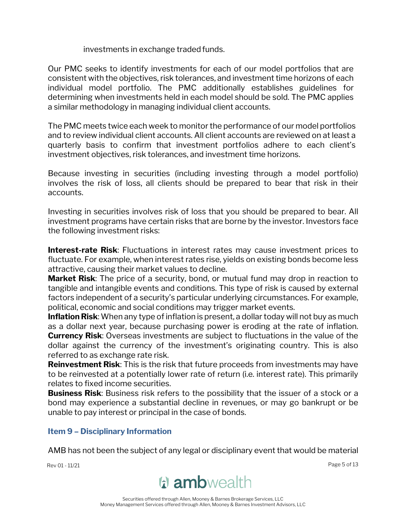investments in exchange traded funds.

Our PMC seeks to identify investments for each of our model portfolios that are consistent with the objectives, risk tolerances, and investment time horizons of each individual model portfolio. The PMC additionally establishes guidelines for determining when investments held in each model should be sold. The PMC applies a similar methodology in managing individual client accounts.

The PMC meets twice each week to monitor the performance of our model portfolios and to review individual client accounts. All client accounts are reviewed on at least a quarterly basis to confirm that investment portfolios adhere to each client's investment objectives, risk tolerances, and investment time horizons.

Because investing in securities (including investing through a model portfolio) involves the risk of loss, all clients should be prepared to bear that risk in their accounts.

Investing in securities involves risk of loss that you should be prepared to bear. All investment programs have certain risks that are borne by the investor. Investors face the following investment risks:

**Interest-rate Risk**: Fluctuations in interest rates may cause investment prices to fluctuate. For example, when interest rates rise, yields on existing bonds become less attractive, causing their market values to decline.

**Market Risk**: The price of a security, bond, or mutual fund may drop in reaction to tangible and intangible events and conditions. This type of risk is caused by external factors independent of a security's particular underlying circumstances. For example, political, economic and social conditions may trigger market events.

**Inflation Risk**: When any type of inflation is present, a dollar today will not buy as much as a dollar next year, because purchasing power is eroding at the rate of inflation. **Currency Risk**: Overseas investments are subject to fluctuations in the value of the dollar against the currency of the investment's originating country. This is also referred to as exchange rate risk.

**Reinvestment Risk**: This is the risk that future proceeds from investments may have to be reinvested at a potentially lower rate of return (i.e. interest rate). This primarily relates to fixed income securities.

**Business Risk**: Business risk refers to the possibility that the issuer of a stock or a bond may experience a substantial decline in revenues, or may go bankrupt or be unable to pay interest or principal in the case of bonds.

#### <span id="page-7-0"></span>**Item 9 – Disciplinary Information**

AMB has not been the subject of any legal or disciplinary event that would be material

Rev 01 - 11/21 Page 5 of 13



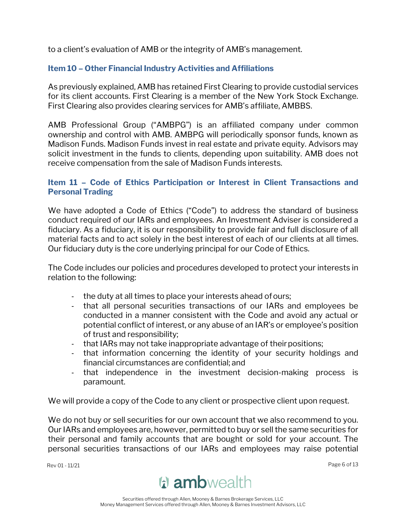to a client's evaluation of AMB or the integrity of AMB's management.

### <span id="page-8-0"></span>**Item 10 – Other Financial Industry Activities and Affiliations**

As previously explained, AMB has retained First Clearing to provide custodial services for its client accounts. First Clearing is a member of the New York Stock Exchange. First Clearing also provides clearing services for AMB's affiliate, AMBBS.

AMB Professional Group ("AMBPG") is an affiliated company under common ownership and control with AMB. AMBPG will periodically sponsor funds, known as Madison Funds. Madison Funds invest in real estate and private equity. Advisors may solicit investment in the funds to clients, depending upon suitability. AMB does not receive compensation from the sale of Madison Funds interests.

#### <span id="page-8-1"></span>**Item 11 – Code of Ethics Participation or Interest in Client Transactions and Personal Trading**

We have adopted a Code of Ethics ("Code") to address the standard of business conduct required of our IARs and employees. An Investment Adviser is considered a fiduciary. As a fiduciary, it is our responsibility to provide fair and full disclosure of all material facts and to act solely in the best interest of each of our clients at all times. Our fiduciary duty is the core underlying principal for our Code of Ethics.

The Code includes our policies and procedures developed to protect your interests in relation to the following:

- the duty at all times to place your interests ahead of ours;
- that all personal securities transactions of our IARs and employees be conducted in a manner consistent with the Code and avoid any actual or potential conflict of interest, or any abuse of an IAR's or employee's position of trust and responsibility;
- that IARs may not take inappropriate advantage of their positions;
- that information concerning the identity of your security holdings and financial circumstances are confidential; and
- that independence in the investment decision-making process is paramount.

We will provide a copy of the Code to any client or prospective client upon request.

We do not buy or sell securities for our own account that we also recommend to you. Our IARs and employees are, however, permitted to buy or sell the same securities for their personal and family accounts that are bought or sold for your account. The personal securities transactions of our IARs and employees may raise potential

Rev 01 - 11/21 Page 6 of 13

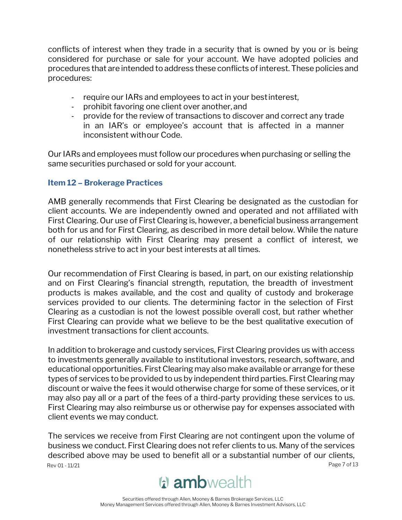conflicts of interest when they trade in a security that is owned by you or is being considered for purchase or sale for your account. We have adopted policies and procedures that are intended to address these conflicts of interest. These policies and procedures:

- require our IARs and employees to act in your bestinterest,
- prohibit favoring one client over another, and
- provide for the review of transactions to discover and correct any trade in an IAR's or employee's account that is affected in a manner inconsistent withour Code.

Our IARs and employees must follow our procedures when purchasing or selling the same securities purchased or sold for your account.

#### <span id="page-9-0"></span>**Item 12 – Brokerage Practices**

AMB generally recommends that First Clearing be designated as the custodian for client accounts. We are independently owned and operated and not affiliated with First Clearing. Our use of First Clearing is, however, a beneficial business arrangement both for us and for First Clearing, as described in more detail below. While the nature of our relationship with First Clearing may present a conflict of interest, we nonetheless strive to act in your best interests at all times.

Our recommendation of First Clearing is based, in part, on our existing relationship and on First Clearing's financial strength, reputation, the breadth of investment products is makes available, and the cost and quality of custody and brokerage services provided to our clients. The determining factor in the selection of First Clearing as a custodian is not the lowest possible overall cost, but rather whether First Clearing can provide what we believe to be the best qualitative execution of investment transactions for client accounts.

In addition to brokerage and custody services, First Clearing provides us with access to investments generally available to institutional investors, research, software, and educational opportunities. First Clearing may also make available or arrange for these types of services to be provided to us by independent third parties. First Clearing may discount or waive the fees it would otherwise charge for some of these services, or it may also pay all or a part of the fees of a third-party providing these services to us. First Clearing may also reimburse us or otherwise pay for expenses associated with client events we may conduct.

Rev 01 - 11/21 Page 7 of 13 The services we receive from First Clearing are not contingent upon the volume of business we conduct. First Clearing does not refer clients to us. Many of the services described above may be used to benefit all or a substantial number of our clients,

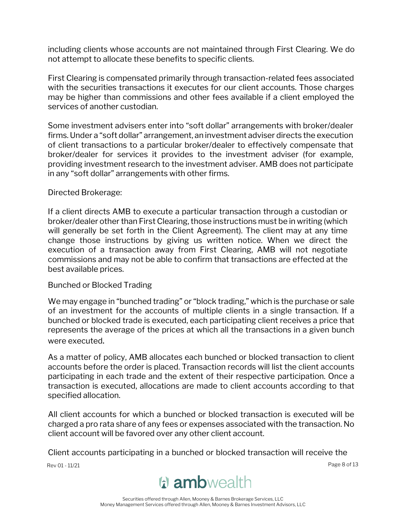including clients whose accounts are not maintained through First Clearing. We do not attempt to allocate these benefits to specific clients.

First Clearing is compensated primarily through transaction-related fees associated with the securities transactions it executes for our client accounts. Those charges may be higher than commissions and other fees available if a client employed the services of another custodian.

Some investment advisers enter into "soft dollar" arrangements with broker/dealer firms. Under a "soft dollar" arrangement, an investment adviser directs the execution of client transactions to a particular broker/dealer to effectively compensate that broker/dealer for services it provides to the investment adviser (for example, providing investment research to the investment adviser. AMB does not participate in any "soft dollar" arrangements with other firms.

#### Directed Brokerage:

If a client directs AMB to execute a particular transaction through a custodian or broker/dealer other than First Clearing, those instructions must be in writing (which will generally be set forth in the Client Agreement). The client may at any time change those instructions by giving us written notice. When we direct the execution of a transaction away from First Clearing, AMB will not negotiate commissions and may not be able to confirm that transactions are effected at the best available prices.

#### Bunched or Blocked Trading

We may engage in "bunched trading" or "block trading," which is the purchase or sale of an investment for the accounts of multiple clients in a single transaction. If a bunched or blocked trade is executed, each participating client receives a price that represents the average of the prices at which all the transactions in a given bunch were executed.

As a matter of policy, AMB allocates each bunched or blocked transaction to client accounts before the order is placed. Transaction records will list the client accounts participating in each trade and the extent of their respective participation. Once a transaction is executed, allocations are made to client accounts according to that specified allocation.

All client accounts for which a bunched or blocked transaction is executed will be charged a pro rata share of any fees or expenses associated with the transaction. No client account will be favored over any other client account.

Client accounts participating in a bunched or blocked transaction will receive the

Rev 01 - 11/21 Page 8 of 13

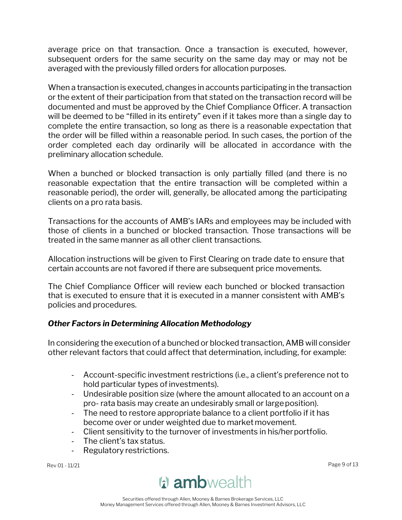average price on that transaction. Once a transaction is executed, however, subsequent orders for the same security on the same day may or may not be averaged with the previously filled orders for allocation purposes.

When a transaction is executed, changes in accounts participating in the transaction or the extent of their participation from that stated on the transaction record will be documented and must be approved by the Chief Compliance Officer. A transaction will be deemed to be "filled in its entirety" even if it takes more than a single day to complete the entire transaction, so long as there is a reasonable expectation that the order will be filled within a reasonable period. In such cases, the portion of the order completed each day ordinarily will be allocated in accordance with the preliminary allocation schedule.

When a bunched or blocked transaction is only partially filled (and there is no reasonable expectation that the entire transaction will be completed within a reasonable period), the order will, generally, be allocated among the participating clients on a pro rata basis.

Transactions for the accounts of AMB's IARs and employees may be included with those of clients in a bunched or blocked transaction. Those transactions will be treated in the same manner as all other client transactions.

Allocation instructions will be given to First Clearing on trade date to ensure that certain accounts are not favored if there are subsequent price movements.

The Chief Compliance Officer will review each bunched or blocked transaction that is executed to ensure that it is executed in a manner consistent with AMB's policies and procedures.

# *Other Factors in Determining Allocation Methodology*

In considering the execution of a bunched or blocked transaction, AMB will consider other relevant factors that could affect that determination, including, for example:

- Account-specific investment restrictions (i.e., a client's preference not to hold particular types of investments).
- Undesirable position size (where the amount allocated to an account on a pro- rata basis may create an undesirably small or largeposition).
- The need to restore appropriate balance to a client portfolio if it has become over or under weighted due to market movement.
- Client sensitivity to the turnover of investments in his/her portfolio.
- The client's tax status.
- Regulatory restrictions.

Rev 01 - 11/21 Page 9 of 13

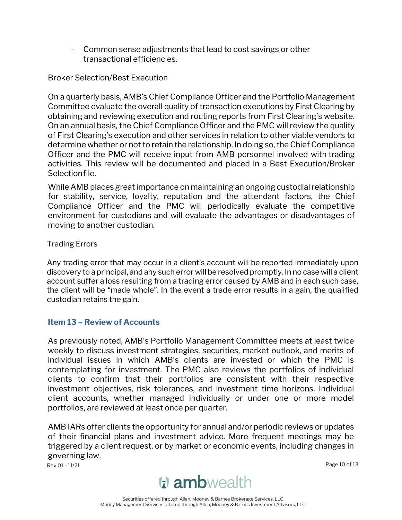- Common sense adjustments that lead to cost savings or other transactional efficiencies.

Broker Selection/Best Execution

On a quarterly basis, AMB's Chief Compliance Officer and the Portfolio Management Committee evaluate the overall quality of transaction executions by First Clearing by obtaining and reviewing execution and routing reports from First Clearing's website. On an annual basis, the Chief Compliance Officer and the PMC will review the quality of First Clearing's execution and other services in relation to other viable vendors to determine whether or not to retain the relationship. In doing so, the Chief Compliance Officer and the PMC will receive input from AMB personnel involved with trading activities. This review will be documented and placed in a Best Execution/Broker Selectionfile.

While AMB places great importance on maintaining an ongoing custodial relationship for stability, service, loyalty, reputation and the attendant factors, the Chief Compliance Officer and the PMC will periodically evaluate the competitive environment for custodians and will evaluate the advantages or disadvantages of moving to another custodian.

#### Trading Errors

Any trading error that may occur in a client's account will be reported immediately upon discovery to a principal, and any such error will be resolved promptly. In no case will a client account suffer a loss resulting from a trading error caused by AMB and in each such case, the client will be "made whole". In the event a trade error results in a gain, the qualified custodian retains the gain.

#### <span id="page-12-0"></span>**Item 13 – Review of Accounts**

As previously noted, AMB's Portfolio Management Committee meets at least twice weekly to discuss investment strategies, securities, market outlook, and merits of individual issues in which AMB's clients are invested or which the PMC is contemplating for investment. The PMC also reviews the portfolios of individual clients to confirm that their portfolios are consistent with their respective investment objectives, risk tolerances, and investment time horizons. Individual client accounts, whether managed individually or under one or more model portfolios, are reviewed at least once per quarter.

AMB IARs offer clients the opportunity for annual and/or periodic reviews or updates of their financial plans and investment advice. More frequent meetings may be triggered by a client request, or by market or economic events, including changes in governing law.

Rev 01 - 11/21 Page 10 of 13

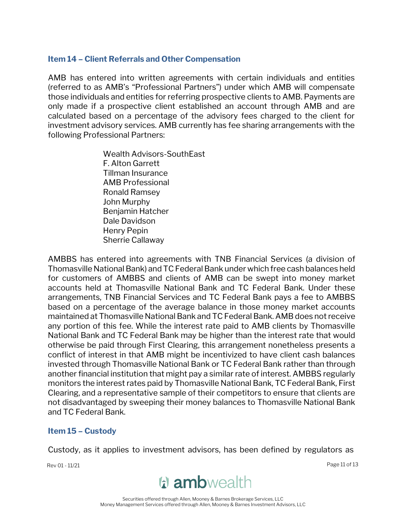#### <span id="page-13-0"></span>**Item 14 – Client Referrals and Other Compensation**

AMB has entered into written agreements with certain individuals and entities (referred to as AMB's "Professional Partners") under which AMB will compensate those individuals and entities for referring prospective clients to AMB. Payments are only made if a prospective client established an account through AMB and are calculated based on a percentage of the advisory fees charged to the client for investment advisory services. AMB currently has fee sharing arrangements with the following Professional Partners:

> Wealth Advisors-SouthEast F. Alton Garrett Tillman Insurance AMB Professional Ronald Ramsey John Murphy Benjamin Hatcher Dale Davidson Henry Pepin Sherrie Callaway

AMBBS has entered into agreements with TNB Financial Services (a division of Thomasville National Bank) and TC Federal Bank under which free cash balances held for customers of AMBBS and clients of AMB can be swept into money market accounts held at Thomasville National Bank and TC Federal Bank. Under these arrangements, TNB Financial Services and TC Federal Bank pays a fee to AMBBS based on a percentage of the average balance in those money market accounts maintained at Thomasville National Bank and TC Federal Bank. AMB does not receive any portion of this fee. While the interest rate paid to AMB clients by Thomasville National Bank and TC Federal Bank may be higher than the interest rate that would otherwise be paid through First Clearing, this arrangement nonetheless presents a conflict of interest in that AMB might be incentivized to have client cash balances invested through Thomasville National Bank or TC Federal Bank rather than through another financial institution that might pay a similar rate of interest. AMBBS regularly monitors the interest rates paid by Thomasville National Bank, TC Federal Bank, First Clearing, and a representative sample of their competitors to ensure that clients are not disadvantaged by sweeping their money balances to Thomasville National Bank and TC Federal Bank.

#### <span id="page-13-1"></span>**Item 15 – Custody**

Custody, as it applies to investment advisors, has been defined by regulators as

Rev 01 - 11/21 Page 11 of 13

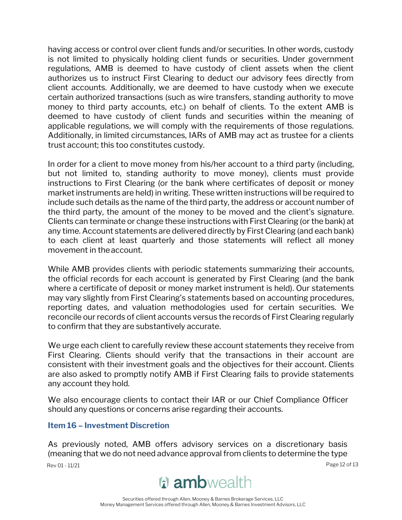having access or control over client funds and/or securities. In other words, custody is not limited to physically holding client funds or securities. Under government regulations, AMB is deemed to have custody of client assets when the client authorizes us to instruct First Clearing to deduct our advisory fees directly from client accounts. Additionally, we are deemed to have custody when we execute certain authorized transactions (such as wire transfers, standing authority to move money to third party accounts, etc.) on behalf of clients. To the extent AMB is deemed to have custody of client funds and securities within the meaning of applicable regulations, we will comply with the requirements of those regulations. Additionally, in limited circumstances, IARs of AMB may act as trustee for a clients trust account; this too constitutes custody.

In order for a client to move money from his/her account to a third party (including, but not limited to, standing authority to move money), clients must provide instructions to First Clearing (or the bank where certificates of deposit or money market instruments are held) in writing. These written instructions will be required to include such details as the name of the third party, the address or account number of the third party, the amount of the money to be moved and the client's signature. Clients can terminate or change these instructions with First Clearing (or the bank) at any time. Account statements are delivered directly by First Clearing (and each bank) to each client at least quarterly and those statements will reflect all money movement in theaccount.

While AMB provides clients with periodic statements summarizing their accounts, the official records for each account is generated by First Clearing (and the bank where a certificate of deposit or money market instrument is held). Our statements may vary slightly from First Clearing's statements based on accounting procedures, reporting dates, and valuation methodologies used for certain securities. We reconcile our records of client accounts versus the records of First Clearing regularly to confirm that they are substantively accurate.

We urge each client to carefully review these account statements they receive from First Clearing. Clients should verify that the transactions in their account are consistent with their investment goals and the objectives for their account. Clients are also asked to promptly notify AMB if First Clearing fails to provide statements any account they hold.

We also encourage clients to contact their IAR or our Chief Compliance Officer should any questions or concerns arise regarding their accounts.

#### <span id="page-14-0"></span>**Item 16 – Investment Discretion**

Rev 01 - 11/21 Page 12 of 13 As previously noted, AMB offers advisory services on a discretionary basis (meaning that we do not need advance approval from clients to determine the type

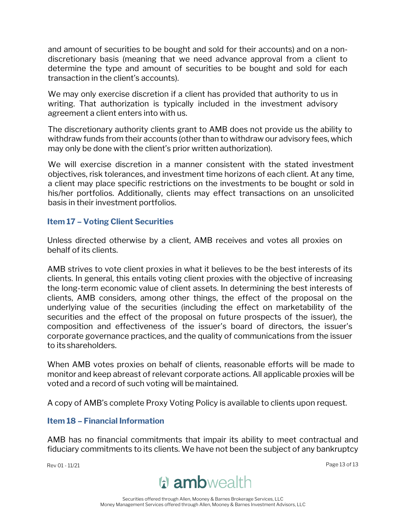and amount of securities to be bought and sold for their accounts) and on a nondiscretionary basis (meaning that we need advance approval from a client to determine the type and amount of securities to be bought and sold for each transaction in the client's accounts).

We may only exercise discretion if a client has provided that authority to us in writing. That authorization is typically included in the investment advisory agreement a client enters into with us.

The discretionary authority clients grant to AMB does not provide us the ability to withdraw funds from their accounts (other than to withdraw our advisory fees, which may only be done with the client's prior written authorization).

We will exercise discretion in a manner consistent with the stated investment objectives, risk tolerances, and investment time horizons of each client. At any time, a client may place specific restrictions on the investments to be bought or sold in his/her portfolios. Additionally, clients may effect transactions on an unsolicited basis in their investment portfolios.

#### <span id="page-15-0"></span>**Item 17 – Voting Client Securities**

Unless directed otherwise by a client, AMB receives and votes all proxies on behalf of its clients.

AMB strives to vote client proxies in what it believes to be the best interests of its clients. In general, this entails voting client proxies with the objective of increasing the long-term economic value of client assets. In determining the best interests of clients, AMB considers, among other things, the effect of the proposal on the underlying value of the securities (including the effect on marketability of the securities and the effect of the proposal on future prospects of the issuer), the composition and effectiveness of the issuer's board of directors, the issuer's corporate governance practices, and the quality of communications from the issuer to its shareholders.

When AMB votes proxies on behalf of clients, reasonable efforts will be made to monitor and keep abreast of relevant corporate actions. All applicable proxies will be voted and a record of such voting will be maintained.

A copy of AMB's complete Proxy Voting Policy is available to clients upon request.

#### <span id="page-15-1"></span>**Item 18 – Financial Information**

AMB has no financial commitments that impair its ability to meet contractual and fiduciary commitments to its clients. We have not been the subject of any bankruptcy

Rev 01 - 11/21 Page 13 of 13